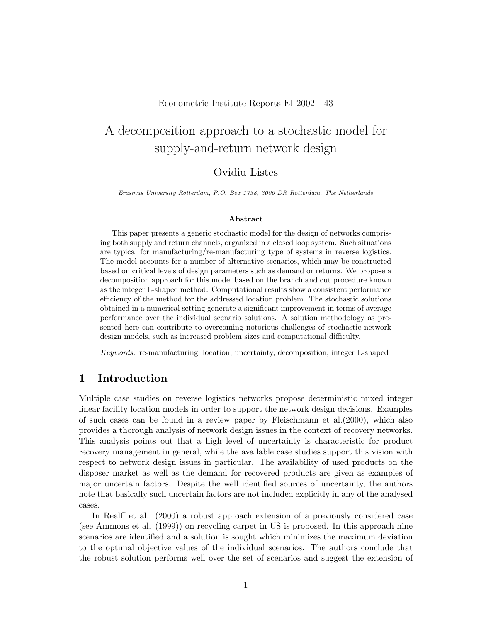#### Econometric Institute Reports EI 2002 - 43

# A decomposition approach to a stochastic model for supply-and-return network design

# Ovidiu Listes

Erasmus University Rotterdam, P.O. Box 1738, 3000 DR Rotterdam, The Netherlands

#### Abstract

This paper presents a generic stochastic model for the design of networks comprising both supply and return channels, organized in a closed loop system. Such situations are typical for manufacturing/re-manufacturing type of systems in reverse logistics. The model accounts for a number of alternative scenarios, which may be constructed based on critical levels of design parameters such as demand or returns. We propose a decomposition approach for this model based on the branch and cut procedure known as the integer L-shaped method. Computational results show a consistent performance efficiency of the method for the addressed location problem. The stochastic solutions obtained in a numerical setting generate a significant improvement in terms of average performance over the individual scenario solutions. A solution methodology as presented here can contribute to overcoming notorious challenges of stochastic network design models, such as increased problem sizes and computational difficulty.

Keywords: re-manufacturing, location, uncertainty, decomposition, integer L-shaped

### 1 Introduction

Multiple case studies on reverse logistics networks propose deterministic mixed integer linear facility location models in order to support the network design decisions. Examples of such cases can be found in a review paper by Fleischmann et al.(2000), which also provides a thorough analysis of network design issues in the context of recovery networks. This analysis points out that a high level of uncertainty is characteristic for product recovery management in general, while the available case studies support this vision with respect to network design issues in particular. The availability of used products on the disposer market as well as the demand for recovered products are given as examples of major uncertain factors. Despite the well identified sources of uncertainty, the authors note that basically such uncertain factors are not included explicitly in any of the analysed cases.

In Realff et al. (2000) a robust approach extension of a previously considered case (see Ammons et al. (1999)) on recycling carpet in US is proposed. In this approach nine scenarios are identified and a solution is sought which minimizes the maximum deviation to the optimal objective values of the individual scenarios. The authors conclude that the robust solution performs well over the set of scenarios and suggest the extension of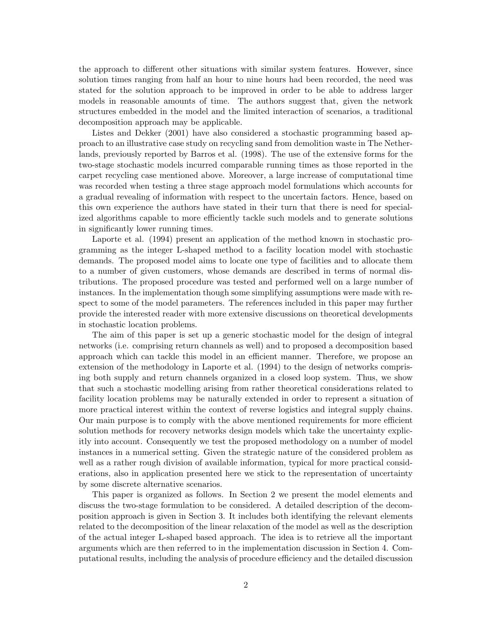the approach to different other situations with similar system features. However, since solution times ranging from half an hour to nine hours had been recorded, the need was stated for the solution approach to be improved in order to be able to address larger models in reasonable amounts of time. The authors suggest that, given the network structures embedded in the model and the limited interaction of scenarios, a traditional decomposition approach may be applicable.

Listes and Dekker (2001) have also considered a stochastic programming based approach to an illustrative case study on recycling sand from demolition waste in The Netherlands, previously reported by Barros et al. (1998). The use of the extensive forms for the two-stage stochastic models incurred comparable running times as those reported in the carpet recycling case mentioned above. Moreover, a large increase of computational time was recorded when testing a three stage approach model formulations which accounts for a gradual revealing of information with respect to the uncertain factors. Hence, based on this own experience the authors have stated in their turn that there is need for specialized algorithms capable to more efficiently tackle such models and to generate solutions in significantly lower running times.

Laporte et al. (1994) present an application of the method known in stochastic programming as the integer L-shaped method to a facility location model with stochastic demands. The proposed model aims to locate one type of facilities and to allocate them to a number of given customers, whose demands are described in terms of normal distributions. The proposed procedure was tested and performed well on a large number of instances. In the implementation though some simplifying assumptions were made with respect to some of the model parameters. The references included in this paper may further provide the interested reader with more extensive discussions on theoretical developments in stochastic location problems.

The aim of this paper is set up a generic stochastic model for the design of integral networks (i.e. comprising return channels as well) and to proposed a decomposition based approach which can tackle this model in an efficient manner. Therefore, we propose an extension of the methodology in Laporte et al. (1994) to the design of networks comprising both supply and return channels organized in a closed loop system. Thus, we show that such a stochastic modelling arising from rather theoretical considerations related to facility location problems may be naturally extended in order to represent a situation of more practical interest within the context of reverse logistics and integral supply chains. Our main purpose is to comply with the above mentioned requirements for more efficient solution methods for recovery networks design models which take the uncertainty explicitly into account. Consequently we test the proposed methodology on a number of model instances in a numerical setting. Given the strategic nature of the considered problem as well as a rather rough division of available information, typical for more practical considerations, also in application presented here we stick to the representation of uncertainty by some discrete alternative scenarios.

This paper is organized as follows. In Section 2 we present the model elements and discuss the two-stage formulation to be considered. A detailed description of the decomposition approach is given in Section 3. It includes both identifying the relevant elements related to the decomposition of the linear relaxation of the model as well as the description of the actual integer L-shaped based approach. The idea is to retrieve all the important arguments which are then referred to in the implementation discussion in Section 4. Computational results, including the analysis of procedure efficiency and the detailed discussion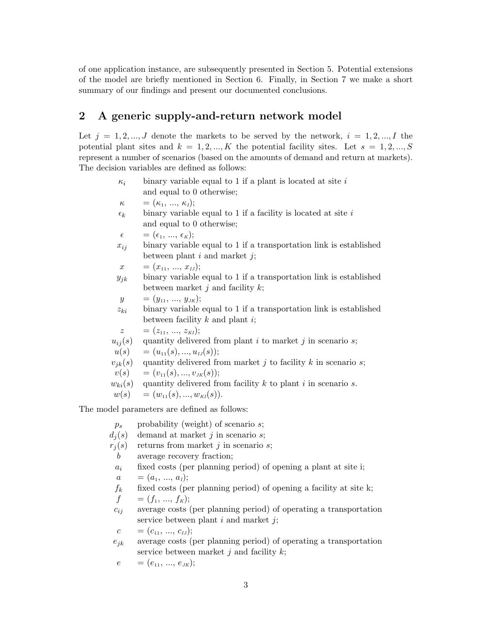of one application instance, are subsequently presented in Section 5. Potential extensions of the model are briefly mentioned in Section 6. Finally, in Section 7 we make a short summary of our findings and present our documented conclusions.

# 2 A generic supply-and-return network model

Let  $j = 1, 2, ..., J$  denote the markets to be served by the network,  $i = 1, 2, ..., I$  the potential plant sites and  $k = 1, 2, ..., K$  the potential facility sites. Let  $s = 1, 2, ..., S$ represent a number of scenarios (based on the amounts of demand and return at markets). The decision variables are defined as follows:

- $\kappa_i$  binary variable equal to 1 if a plant is located at site i and equal to 0 otherwise;  $\kappa = (\kappa_1, ..., \kappa_I);$  $\epsilon_k$  binary variable equal to 1 if a facility is located at site i and equal to 0 otherwise;  $\epsilon = (\epsilon_1, ..., \epsilon_K);$  $x_{ij}$  binary variable equal to 1 if a transportation link is established between plant  $i$  and market  $j$ ;  $x = (x_{11}, ..., x_{L})$ ;  $y_{jk}$  binary variable equal to 1 if a transportation link is established between market  $i$  and facility  $k$ ;  $y = (y_{11}, ..., y_{JK});$  $z_{ki}$  binary variable equal to 1 if a transportation link is established between facility  $k$  and plant  $i$ ;  $z = (z_{11}, \ldots, z_{KI});$  $u_{ij}(s)$  quantity delivered from plant i to market j in scenario s;  $u(s) = (u_{11}(s), ..., u_{1I}(s));$  $v_{ik}(s)$  quantity delivered from market j to facility k in scenario s;  $v(s) = (v_{11}(s), ..., v_{JK}(s));$  $w_{ki}(s)$  quantity delivered from facility k to plant i in scenario s.  $w(s) = (w_{11}(s), ..., w_{\text{KI}}(s)).$ The model parameters are defined as follows:  $p_s$  probability (weight) of scenario s;  $d_i(s)$  demand at market j in scenario s;
	- $r_i(s)$  returns from market j in scenario s;
	- b average recovery fraction;
	- $a_i$  fixed costs (per planning period) of opening a plant at site i;
	- $a = (a_1, ..., a_l);$
	- $f_k$  fixed costs (per planning period) of opening a facility at site k;
	- $f = (f_1, ..., f_K);$
	- $c_{ij}$  average costs (per planning period) of operating a transportation service between plant  $i$  and market  $i$ ;
	- $c = (c_{11}, ..., c_{IJ});$
	- $e_{jk}$  average costs (per planning period) of operating a transportation service between market  $j$  and facility  $k$ ;
	- $e = (e_{11}, ..., e_{JK});$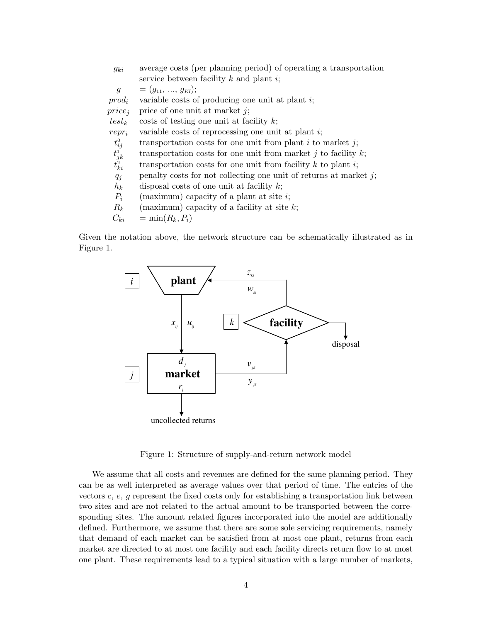| $g_{ki}$                 | average costs (per planning period) of operating a transportation    |
|--------------------------|----------------------------------------------------------------------|
|                          | service between facility $k$ and plant $i$ ;                         |
| $\mathfrak{g}$           | $=(g_{11},,g_{kI});$                                                 |
| $prod_i$                 | variable costs of producing one unit at plant $i$ ;                  |
| $price_i$                | price of one unit at market $j$ ;                                    |
| $test_k$                 | $\cos t$ costs of testing one unit at facility k;                    |
| $repr_i$                 | variable costs of reprocessing one unit at plant $i$ ;               |
| $t^0_{ij}$               | transportation costs for one unit from plant $i$ to market $j$ ;     |
|                          | transportation costs for one unit from market j to facility $k$ ;    |
| $t_{jk}^1$<br>$t_{ki}^2$ | transportation costs for one unit from facility $k$ to plant $i$ ;   |
| $q_j$                    | penalty costs for not collecting one unit of returns at market $j$ ; |
| $h_k$                    | disposal costs of one unit at facility $k$ ;                         |
| $P_i$                    | (maximum) capacity of a plant at site $i$ ;                          |
| $R_k$                    | (maximum) capacity of a facility at site $k$ ;                       |
| $C_{ki}$                 | $=$ min $(R_k, P_i)$                                                 |

Given the notation above, the network structure can be schematically illustrated as in Figure 1.



Figure 1: Structure of supply-and-return network model

We assume that all costs and revenues are defined for the same planning period. They can be as well interpreted as average values over that period of time. The entries of the vectors  $c, e, g$  represent the fixed costs only for establishing a transportation link between two sites and are not related to the actual amount to be transported between the corresponding sites. The amount related figures incorporated into the model are additionally defined. Furthermore, we assume that there are some sole servicing requirements, namely that demand of each market can be satisfied from at most one plant, returns from each market are directed to at most one facility and each facility directs return flow to at most one plant. These requirements lead to a typical situation with a large number of markets,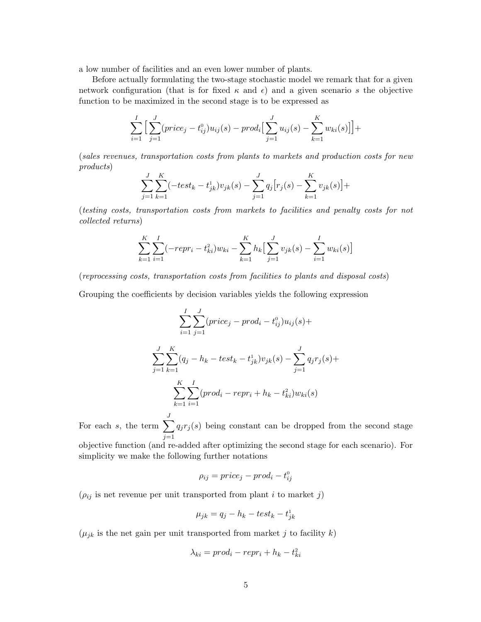a low number of facilities and an even lower number of plants.

Before actually formulating the two-stage stochastic model we remark that for a given network configuration (that is for fixed  $\kappa$  and  $\epsilon$ ) and a given scenario s the objective function to be maximized in the second stage is to be expressed as

$$
\sum_{i=1}^{I} \Big[ \sum_{j=1}^{J} (price_j - t_{ij}^0)u_{ij}(s) - prod_i \Big[ \sum_{j=1}^{J} u_{ij}(s) - \sum_{k=1}^{K} w_{ki}(s) \Big] \Big] +
$$

(sales revenues, transportation costs from plants to markets and production costs for new products)

$$
\sum_{j=1}^{J} \sum_{k=1}^{K} (-test_k - t_{jk}^1) v_{jk}(s) - \sum_{j=1}^{J} q_j [r_j(s) - \sum_{k=1}^{K} v_{jk}(s)] +
$$

(testing costs, transportation costs from markets to facilities and penalty costs for not collected returns)

$$
\sum_{k=1}^{K} \sum_{i=1}^{I} (-repr_i - t_{ki}^2) w_{ki} - \sum_{k=1}^{K} h_k \Big[ \sum_{j=1}^{J} v_{jk}(s) - \sum_{i=1}^{I} w_{ki}(s) \Big]
$$

(reprocessing costs, transportation costs from facilities to plants and disposal costs)

Grouping the coefficients by decision variables yields the following expression

$$
\sum_{i=1}^{I} \sum_{j=1}^{J} (price_j - prod_i - t_{ij}^0)u_{ij}(s) +
$$
  

$$
\sum_{j=1}^{J} \sum_{k=1}^{K} (q_j - h_k - test_k - t_{jk}^1)v_{jk}(s) - \sum_{j=1}^{J} q_jr_j(s) +
$$
  

$$
\sum_{k=1}^{K} \sum_{i=1}^{I} (prod_i - repr_i + h_k - t_{ki}^2)w_{ki}(s)
$$

For each s, the term  $\sum$ J  $j=1$  $q_jr_j(s)$  being constant can be dropped from the second stage

objective function (and re-added after optimizing the second stage for each scenario). For simplicity we make the following further notations

$$
\rho_{ij} = price_j - prod_i - t_{ij}^0
$$

 $(\rho_{ij}$  is net revenue per unit transported from plant  $i$  to market  $j)$ 

$$
\mu_{jk} = q_j - h_k - \text{test}_k - t_{jk}^1
$$

 $(\mu_{jk}$  is the net gain per unit transported from market j to facility k)

$$
\lambda_{ki} = prod_i - repr_i + h_k - t_{ki}^2
$$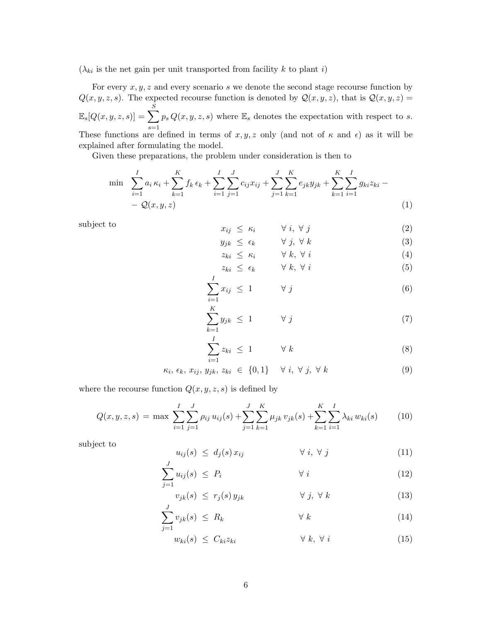$(\lambda_{ki}$  is the net gain per unit transported from facility k to plant i)

For every  $x, y, z$  and every scenario s we denote the second stage recourse function by  $Q(x, y, z, s)$ . The expected recourse function is denoted by  $Q(x, y, z)$ , that is  $Q(x, y, z) =$  $\mathbb{E}_{s}[Q(x,y,z,s)] = \sum_{s}$ S  $s=1$  $p_s Q(x, y, z, s)$  where  $\mathbb{E}_s$  denotes the expectation with respect to s. These functions are defined in terms of  $x, y, z$  only (and not of  $\kappa$  and  $\epsilon$ ) as it will be explained after formulating the model.

Given these preparations, the problem under consideration is then to

$$
\min \sum_{i=1}^{I} a_i \kappa_i + \sum_{k=1}^{K} f_k \epsilon_k + \sum_{i=1}^{I} \sum_{j=1}^{J} c_{ij} x_{ij} + \sum_{j=1}^{J} \sum_{k=1}^{K} e_{jk} y_{jk} + \sum_{k=1}^{K} \sum_{i=1}^{I} g_{ki} z_{ki} - \sum_{j=1}^{I} Q(x, y, z) \tag{1}
$$

subject to

$$
x_{ij} \leq \kappa_i \qquad \forall \ i, \forall j \tag{2}
$$

$$
y_{jk} \le \epsilon_k \qquad \forall j, \forall k \tag{3}
$$

$$
z_{ki} \leq \kappa_i \qquad \forall k, \forall i \tag{4}
$$
\n
$$
z_{ki} \leq \epsilon_i \qquad \forall k, \forall i \tag{5}
$$

$$
z_{ki} \leq \epsilon_k \qquad \forall k, \forall i \tag{5}
$$

$$
\sum_{i=1}^{n} x_{ij} \leq 1 \qquad \forall j \tag{6}
$$

$$
\sum_{k=1}^{K} y_{jk} \le 1 \qquad \forall j \tag{7}
$$

$$
\sum_{i=1}^{I} z_{ki} \leq 1 \qquad \forall k \tag{8}
$$

$$
\kappa_i, \, \epsilon_k, \, x_{ij}, \, y_{jk}, \, z_{ki} \in \{0, 1\} \quad \forall \, i, \, \forall \, j, \, \forall \, k \tag{9}
$$

where the recourse function  $Q(x, y, z, s)$  is defined by

$$
Q(x, y, z, s) = \max \sum_{i=1}^{I} \sum_{j=1}^{J} \rho_{ij} u_{ij}(s) + \sum_{j=1}^{J} \sum_{k=1}^{K} \mu_{jk} v_{jk}(s) + \sum_{k=1}^{K} \sum_{i=1}^{I} \lambda_{ki} w_{ki}(s)
$$
(10)

subject to

$$
u_{ij}(s) \leq d_j(s) x_{ij} \qquad \forall i, \forall j \qquad (11)
$$

$$
\sum_{j=1}^{J} u_{ij}(s) \le P_i \qquad \forall i \qquad (12)
$$

$$
v_{jk}(s) \leq r_j(s) y_{jk} \qquad \forall j, \forall k
$$
 (13)

$$
\sum_{j=1}^{J} v_{jk}(s) \leq R_k \qquad \qquad \forall k \qquad (14)
$$

$$
w_{ki}(s) \leq C_{ki} z_{ki} \qquad \qquad \forall \ k, \ \forall \ i \tag{15}
$$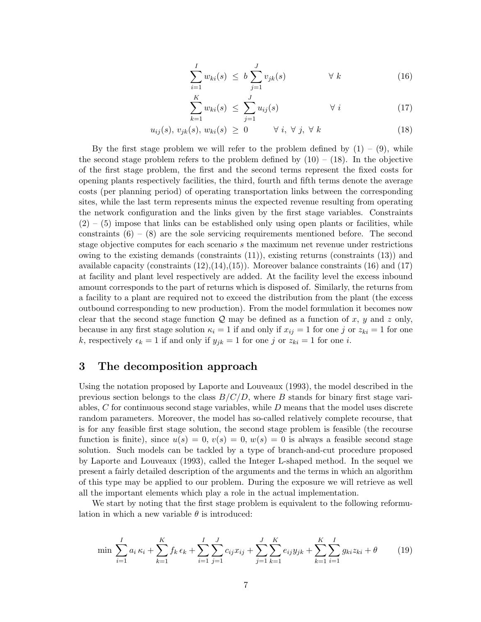$$
\sum_{i=1}^{I} w_{ki}(s) \leq b \sum_{j=1}^{J} v_{jk}(s) \qquad \forall k \qquad (16)
$$

$$
\sum_{k=1}^{K} w_{ki}(s) \leq \sum_{j=1}^{J} u_{ij}(s) \qquad \forall i \qquad (17)
$$

$$
u_{ij}(s), v_{jk}(s), w_{ki}(s) \ge 0 \qquad \forall i, \forall j, \forall k
$$
\n(18)

By the first stage problem we will refer to the problem defined by  $(1) - (9)$ , while the second stage problem refers to the problem defined by  $(10) - (18)$ . In the objective of the first stage problem, the first and the second terms represent the fixed costs for opening plants respectively facilities, the third, fourth and fifth terms denote the average costs (per planning period) of operating transportation links between the corresponding sites, while the last term represents minus the expected revenue resulting from operating the network configuration and the links given by the first stage variables. Constraints  $(2)$  –  $(5)$  impose that links can be established only using open plants or facilities, while constraints  $(6) - (8)$  are the sole servicing requirements mentioned before. The second stage objective computes for each scenario s the maximum net revenue under restrictions owing to the existing demands (constraints  $(11)$ ), existing returns (constraints  $(13)$ ) and available capacity (constraints  $(12),(14),(15)$ ). Moreover balance constraints  $(16)$  and  $(17)$ at facility and plant level respectively are added. At the facility level the excess inbound amount corresponds to the part of returns which is disposed of. Similarly, the returns from a facility to a plant are required not to exceed the distribution from the plant (the excess outbound corresponding to new production). From the model formulation it becomes now clear that the second stage function  $Q$  may be defined as a function of x, y and z only, because in any first stage solution  $\kappa_i = 1$  if and only if  $x_{ij} = 1$  for one j or  $z_{ki} = 1$  for one k, respectively  $\epsilon_k = 1$  if and only if  $y_{jk} = 1$  for one j or  $z_{ki} = 1$  for one i.

### 3 The decomposition approach

Using the notation proposed by Laporte and Louveaux (1993), the model described in the previous section belongs to the class  $B/C/D$ , where B stands for binary first stage variables,  $C$  for continuous second stage variables, while  $D$  means that the model uses discrete random parameters. Moreover, the model has so-called relatively complete recourse, that is for any feasible first stage solution, the second stage problem is feasible (the recourse function is finite), since  $u(s) = 0, v(s) = 0, w(s) = 0$  is always a feasible second stage solution. Such models can be tackled by a type of branch-and-cut procedure proposed by Laporte and Louveaux (1993), called the Integer L-shaped method. In the sequel we present a fairly detailed description of the arguments and the terms in which an algorithm of this type may be applied to our problem. During the exposure we will retrieve as well all the important elements which play a role in the actual implementation.

We start by noting that the first stage problem is equivalent to the following reformulation in which a new variable  $\theta$  is introduced:

$$
\min \sum_{i=1}^{I} a_i \kappa_i + \sum_{k=1}^{K} f_k \epsilon_k + \sum_{i=1}^{I} \sum_{j=1}^{J} c_{ij} x_{ij} + \sum_{j=1}^{J} \sum_{k=1}^{K} e_{ij} y_{jk} + \sum_{k=1}^{K} \sum_{i=1}^{I} g_{ki} z_{ki} + \theta
$$
\n(19)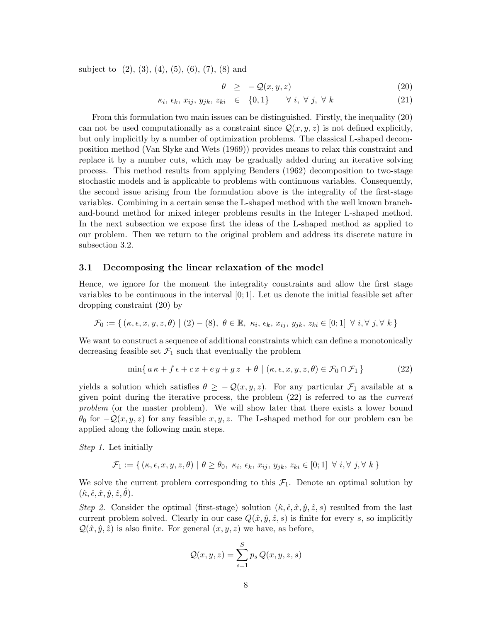subject to  $(2)$ ,  $(3)$ ,  $(4)$ ,  $(5)$ ,  $(6)$ ,  $(7)$ ,  $(8)$  and

$$
\theta \geq -\mathcal{Q}(x, y, z) \tag{20}
$$

$$
\kappa_i, \epsilon_k, x_{ij}, y_{jk}, z_{ki} \in \{0, 1\} \quad \forall i, \forall j, \forall k
$$
\n
$$
(21)
$$

From this formulation two main issues can be distinguished. Firstly, the inequality (20) can not be used computationally as a constraint since  $\mathcal{Q}(x, y, z)$  is not defined explicitly, but only implicitly by a number of optimization problems. The classical L-shaped decomposition method (Van Slyke and Wets (1969)) provides means to relax this constraint and replace it by a number cuts, which may be gradually added during an iterative solving process. This method results from applying Benders (1962) decomposition to two-stage stochastic models and is applicable to problems with continuous variables. Consequently, the second issue arising from the formulation above is the integrality of the first-stage variables. Combining in a certain sense the L-shaped method with the well known branchand-bound method for mixed integer problems results in the Integer L-shaped method. In the next subsection we expose first the ideas of the L-shaped method as applied to our problem. Then we return to the original problem and address its discrete nature in subsection 3.2.

#### 3.1 Decomposing the linear relaxation of the model

Hence, we ignore for the moment the integrality constraints and allow the first stage variables to be continuous in the interval [0; 1]. Let us denote the initial feasible set after dropping constraint (20) by

$$
\mathcal{F}_0 := \{ (\kappa, \epsilon, x, y, z, \theta) \mid (2) - (8), \ \theta \in \mathbb{R}, \ \kappa_i, \ \epsilon_k, \ x_{ij}, \ y_{jk}, \ z_{ki} \in [0; 1] \ \forall \ i, \forall \ j, \forall \ k \}
$$

We want to construct a sequence of additional constraints which can define a monotonically decreasing feasible set  $\mathcal{F}_1$  such that eventually the problem

$$
\min\{a\kappa + f\epsilon + cx + ey + gz + \theta \mid (\kappa, \epsilon, x, y, z, \theta) \in \mathcal{F}_0 \cap \mathcal{F}_1\}
$$
\n(22)

yields a solution which satisfies  $\theta \geq -\mathcal{Q}(x, y, z)$ . For any particular  $\mathcal{F}_1$  available at a given point during the iterative process, the problem (22) is referred to as the current problem (or the master problem). We will show later that there exists a lower bound  $\theta_0$  for  $-\mathcal{Q}(x, y, z)$  for any feasible  $x, y, z$ . The L-shaped method for our problem can be applied along the following main steps.

Step 1. Let initially

 $\mathcal{F}_1 := \{ (\kappa, \epsilon, x, y, z, \theta) \mid \theta \ge \theta_0, \ \kappa_i, \ \epsilon_k, \ x_{ij}, \ y_{jk}, \ z_{ki} \in [0;1] \ \ \forall \ i, \forall \ j, \forall \ k \}$ 

We solve the current problem corresponding to this  $\mathcal{F}_1$ . Denote an optimal solution by  $(\hat{\kappa}, \hat{\epsilon}, \hat{x}, \hat{y}, \hat{z}, \hat{\theta}).$ 

Step 2. Consider the optimal (first-stage) solution  $(\hat{\kappa}, \hat{\epsilon}, \hat{x}, \hat{y}, \hat{z}, s)$  resulted from the last current problem solved. Clearly in our case  $Q(\hat{x}, \hat{y}, \hat{z}, s)$  is finite for every s, so implicitly  $\mathcal{Q}(\hat{x}, \hat{y}, \hat{z})$  is also finite. For general  $(x, y, z)$  we have, as before,

$$
Q(x, y, z) = \sum_{s=1}^{S} p_s Q(x, y, z, s)
$$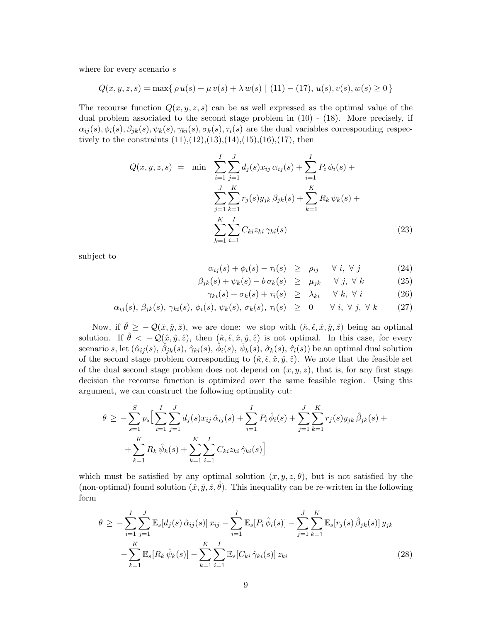where for every scenario  $s$ 

$$
Q(x, y, z, s) = \max\{ \rho u(s) + \mu v(s) + \lambda w(s) \mid (11) - (17), u(s), v(s), w(s) \ge 0 \}
$$

The recourse function  $Q(x, y, z, s)$  can be as well expressed as the optimal value of the dual problem associated to the second stage problem in (10) - (18). More precisely, if  $\alpha_{ij}(s), \phi_i(s), \beta_{jk}(s), \psi_k(s), \gamma_{ki}(s), \sigma_k(s), \tau_i(s)$  are the dual variables corresponding respectively to the constraints  $(11),(12),(13),(14),(15),(16),(17)$ , then

$$
Q(x, y, z, s) = \min \sum_{i=1}^{I} \sum_{j=1}^{J} d_j(s) x_{ij} \alpha_{ij}(s) + \sum_{i=1}^{I} P_i \phi_i(s) + \sum_{j=1}^{J} \sum_{k=1}^{K} r_j(s) y_{jk} \beta_{jk}(s) + \sum_{k=1}^{K} R_k \psi_k(s) + \sum_{k=1}^{K} \sum_{i=1}^{I} C_{ki} z_{ki} \gamma_{ki}(s)
$$
\n(23)

subject to

$$
\alpha_{ij}(s) + \phi_i(s) - \tau_i(s) \ge \rho_{ij} \quad \forall \ i, \ \forall \ j \tag{24}
$$

$$
\beta_{jk}(s) + \psi_k(s) - b \sigma_k(s) \ge \mu_{jk} \quad \forall j, \forall k \tag{25}
$$

$$
\gamma_{ki}(s) + \sigma_k(s) + \tau_i(s) \geq \lambda_{ki} \quad \forall \ k, \ \forall \ i \tag{26}
$$

$$
\alpha_{ij}(s), \beta_{jk}(s), \gamma_{ki}(s), \phi_i(s), \psi_k(s), \sigma_k(s), \tau_i(s) \geq 0 \quad \forall i, \forall j, \forall k \qquad (27)
$$

Now, if  $\hat{\theta} \ge -\mathcal{Q}(\hat{x}, \hat{y}, \hat{z})$ , we are done: we stop with  $(\hat{\kappa}, \hat{\epsilon}, \hat{x}, \hat{y}, \hat{z})$  being an optimal solution. If  $\hat{\theta} < -\mathcal{Q}(\hat{x}, \hat{y}, \hat{z})$ , then  $(\hat{\kappa}, \hat{\epsilon}, \hat{x}, \hat{y}, \hat{z})$  is not optimal. In this case, for every  $\text{scenario }s\text{, let }(\hat{\alpha}_{ij}(s),\hat{\beta}_{jk}(s),\hat{\gamma}_{ki}(s),\hat{\phi}_i(s),\hat{\psi}_k(s),\hat{\sigma}_k(s),\hat{\tau}_i(s))\text{ be an optimal dual solution}$ of the second stage problem corresponding to  $(\hat{\kappa}, \hat{\epsilon}, \hat{x}, \hat{y}, \hat{z})$ . We note that the feasible set of the dual second stage problem does not depend on  $(x, y, z)$ , that is, for any first stage decision the recourse function is optimized over the same feasible region. Using this argument, we can construct the following optimality cut:

$$
\theta \geq -\sum_{s=1}^{S} p_s \Big[ \sum_{i=1}^{I} \sum_{j=1}^{J} d_j(s) x_{ij} \hat{\alpha}_{ij}(s) + \sum_{i=1}^{I} P_i \hat{\phi}_i(s) + \sum_{j=1}^{J} \sum_{k=1}^{K} r_j(s) y_{jk} \hat{\beta}_{jk}(s) + \\ + \sum_{k=1}^{K} R_k \hat{\psi}_k(s) + \sum_{k=1}^{K} \sum_{i=1}^{I} C_{ki} z_{ki} \hat{\gamma}_{ki}(s) \Big]
$$

which must be satisfied by any optimal solution  $(x, y, z, \theta)$ , but is not satisfied by the (non-optimal) found solution  $(\hat{x}, \hat{y}, \hat{z}, \hat{\theta})$ . This inequality can be re-written in the following form

$$
\theta \ge -\sum_{i=1}^{I} \sum_{j=1}^{J} \mathbb{E}_{s}[d_{j}(s) \hat{\alpha}_{ij}(s)] x_{ij} - \sum_{i=1}^{I} \mathbb{E}_{s}[P_{i} \hat{\phi}_{i}(s)] - \sum_{j=1}^{J} \sum_{k=1}^{K} \mathbb{E}_{s}[r_{j}(s) \hat{\beta}_{jk}(s)] y_{jk}
$$
  

$$
-\sum_{k=1}^{K} \mathbb{E}_{s}[R_{k} \hat{\psi}_{k}(s)] - \sum_{k=1}^{K} \sum_{i=1}^{I} \mathbb{E}_{s}[C_{ki} \hat{\gamma}_{ki}(s)] z_{ki}
$$
(28)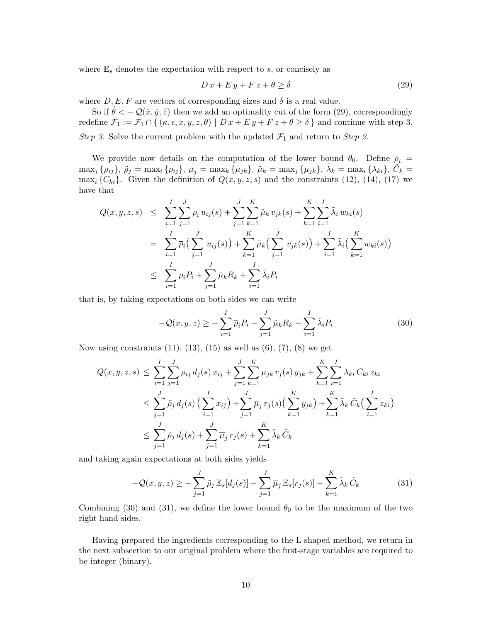where  $\mathbb{E}_s$  denotes the expectation with respect to s, or concisely as

$$
D\,x + E\,y + F\,z + \theta \ge \delta \tag{29}
$$

where  $D, E, F$  are vectors of corresponding sizes and  $\delta$  is a real value.

So if  $\hat{\theta} < -\mathcal{Q}(\hat{x}, \hat{y}, \hat{z})$  then we add an optimality cut of the form (29), correspondingly redefine  $\mathcal{F}_1 := \mathcal{F}_1 \cap \{ (\kappa, \epsilon, x, y, z, \theta) \mid D x + E y + F z + \theta \ge \delta \}$  and continue with step 3. Step 3. Solve the current problem with the updated  $\mathcal{F}_1$  and return to Step 2.

We provide now details on the computation of the lower bound  $\theta_0$ . Define  $\bar{p}_i$  =  $\max_j \{\rho_{ij}\},\ \tilde{\rho}_j=\max_i \{\rho_{ij}\},\ \overline{\mu}_j=\max_k \{\mu_{jk}\},\ \tilde{\mu}_k=\max_j \{\mu_{jk}\},\ \tilde{\lambda}_k=\max_i \{\lambda_{ki}\},\ \tilde{\tilde{C}_k}=$  $\max_i \{C_{ki}\}.$  Given the definition of  $Q(x, y, z, s)$  and the constraints (12), (14), (17) we have that

$$
Q(x, y, z, s) \leq \sum_{i=1}^{I} \sum_{j=1}^{J} \overline{\rho}_{i} u_{ij}(s) + \sum_{j=1}^{J} \sum_{k=1}^{K} \tilde{\mu}_{k} v_{jk}(s) + \sum_{k=1}^{K} \sum_{i=1}^{I} \tilde{\lambda}_{i} w_{ki}(s)
$$
  

$$
= \sum_{i=1}^{I} \overline{\rho}_{i} \Big( \sum_{j=1}^{J} u_{ij}(s) \Big) + \sum_{k=1}^{K} \tilde{\mu}_{k} \Big( \sum_{j=1}^{J} v_{jk}(s) \Big) + \sum_{i=1}^{I} \tilde{\lambda}_{i} \Big( \sum_{k=1}^{K} w_{ki}(s) \Big)
$$
  

$$
\leq \sum_{i=1}^{I} \overline{\rho}_{i} P_{i} + \sum_{j=1}^{J} \tilde{\mu}_{k} R_{k} + \sum_{i=1}^{I} \tilde{\lambda}_{i} P_{i}
$$

that is, by taking expectations on both sides we can write

$$
-\mathcal{Q}(x,y,z) \ge -\sum_{i=1}^{I} \overline{\rho}_i P_i - \sum_{j=1}^{J} \tilde{\mu}_k R_k - \sum_{i=1}^{I} \tilde{\lambda}_i P_i
$$
\n(30)

Now using constraints  $(11)$ ,  $(13)$ ,  $(15)$  as well as  $(6)$ ,  $(7)$ ,  $(8)$  we get

$$
Q(x, y, z, s) \leq \sum_{i=1}^{I} \sum_{j=1}^{J} \rho_{ij} d_j(s) x_{ij} + \sum_{j=1}^{J} \sum_{k=1}^{K} \mu_{jk} r_j(s) y_{jk} + \sum_{k=1}^{K} \sum_{i=1}^{I} \lambda_{ki} C_{ki} z_{ki}
$$
  

$$
\leq \sum_{j=1}^{J} \tilde{\rho}_j d_j(s) \left( \sum_{i=1}^{I} x_{ij} \right) + \sum_{j=1}^{J} \overline{\mu}_j r_j(s) \left( \sum_{k=1}^{K} y_{jk} \right) + \sum_{k=1}^{K} \tilde{\lambda}_k \tilde{C}_k \left( \sum_{i=1}^{I} z_{ki} \right)
$$
  

$$
\leq \sum_{j=1}^{J} \tilde{\rho}_j d_j(s) + \sum_{j=1}^{J} \overline{\mu}_j r_j(s) + \sum_{k=1}^{K} \tilde{\lambda}_k \tilde{C}_k
$$

and taking again expectations at both sides yields

$$
-\mathcal{Q}(x,y,z) \geq -\sum_{j=1}^{J} \tilde{\rho}_j \mathbb{E}_s[d_j(s)] - \sum_{j=1}^{J} \overline{\mu}_j \mathbb{E}_s[r_j(s)] - \sum_{k=1}^{K} \tilde{\lambda}_k \tilde{C}_k
$$
(31)

Combining (30) and (31), we define the lower bound  $\theta_0$  to be the maximum of the two right hand sides.

Having prepared the ingredients corresponding to the L-shaped method, we return in the next subsection to our original problem where the first-stage variables are required to be integer (binary).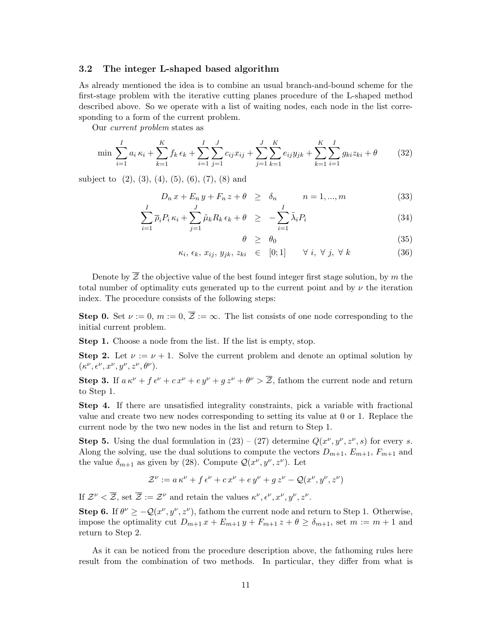#### 3.2 The integer L-shaped based algorithm

As already mentioned the idea is to combine an usual branch-and-bound scheme for the first-stage problem with the iterative cutting planes procedure of the L-shaped method described above. So we operate with a list of waiting nodes, each node in the list corresponding to a form of the current problem.

Our current problem states as

$$
\min \sum_{i=1}^{I} a_i \kappa_i + \sum_{k=1}^{K} f_k \epsilon_k + \sum_{i=1}^{I} \sum_{j=1}^{J} c_{ij} x_{ij} + \sum_{j=1}^{J} \sum_{k=1}^{K} e_{ij} y_{jk} + \sum_{k=1}^{K} \sum_{i=1}^{I} g_{ki} z_{ki} + \theta
$$
 (32)

subject to  $(2)$ ,  $(3)$ ,  $(4)$ ,  $(5)$ ,  $(6)$ ,  $(7)$ ,  $(8)$  and

$$
D_n x + E_n y + F_n z + \theta \ge \delta_n \qquad n = 1, \dots, m \tag{33}
$$

$$
\sum_{i=1}^{I} \overline{\rho}_i P_i \kappa_i + \sum_{j=1}^{J} \tilde{\mu}_k R_k \epsilon_k + \theta \ge -\sum_{i=1}^{I} \tilde{\lambda}_i P_i \tag{34}
$$

$$
\theta \geq \theta_0 \tag{35}
$$

$$
\kappa_i, \, \epsilon_k, \, x_{ij}, \, y_{jk}, \, z_{ki} \in [0;1] \qquad \forall \, i, \, \forall \, j, \, \forall \, k \tag{36}
$$

Denote by  $\overline{Z}$  the objective value of the best found integer first stage solution, by m the total number of optimality cuts generated up to the current point and by  $\nu$  the iteration index. The procedure consists of the following steps:

**Step 0.** Set  $\nu := 0$ ,  $m := 0$ ,  $\overline{z} := \infty$ . The list consists of one node corresponding to the initial current problem.

Step 1. Choose a node from the list. If the list is empty, stop.

**Step 2.** Let  $\nu := \nu + 1$ . Solve the current problem and denote an optimal solution by  $(\kappa^{\nu}, \epsilon^{\nu}, x^{\nu}, y^{\nu}, z^{\nu}, \theta^{\nu}).$ 

**Step 3.** If  $a \kappa^{\nu} + f \epsilon^{\nu} + c x^{\nu} + e y^{\nu} + g z^{\nu} + \theta^{\nu} > \overline{\mathcal{Z}}$ , fathom the current node and return to Step 1.

Step 4. If there are unsatisfied integrality constraints, pick a variable with fractional value and create two new nodes corresponding to setting its value at 0 or 1. Replace the current node by the two new nodes in the list and return to Step 1.

**Step 5.** Using the dual formulation in  $(23) - (27)$  determine  $Q(x^{\nu}, y^{\nu}, z^{\nu}, s)$  for every s. Along the solving, use the dual solutions to compute the vectors  $D_{m+1}$ ,  $E_{m+1}$ ,  $F_{m+1}$  and the value  $\delta_{m+1}$  as given by (28). Compute  $\mathcal{Q}(x^{\nu}, y^{\nu}, z^{\nu})$ . Let

$$
\mathcal{Z}^{\nu} := a \kappa^{\nu} + f \epsilon^{\nu} + c x^{\nu} + e y^{\nu} + g z^{\nu} - \mathcal{Q}(x^{\nu}, y^{\nu}, z^{\nu})
$$

If  $\mathcal{Z}^{\nu} < \overline{\mathcal{Z}}$ , set  $\overline{\mathcal{Z}} := \mathcal{Z}^{\nu}$  and retain the values  $\kappa^{\nu}, \epsilon^{\nu}, x^{\nu}, y^{\nu}, z^{\nu}$ .

Step 6. If  $\theta^{\nu} \ge -Q(x^{\nu}, y^{\nu}, z^{\nu})$ , fathom the current node and return to Step 1. Otherwise, impose the optimality cut  $D_{m+1} x + E_{m+1} y + F_{m+1} z + \theta \ge \delta_{m+1}$ , set  $m := m+1$  and return to Step 2.

As it can be noticed from the procedure description above, the fathoming rules here result from the combination of two methods. In particular, they differ from what is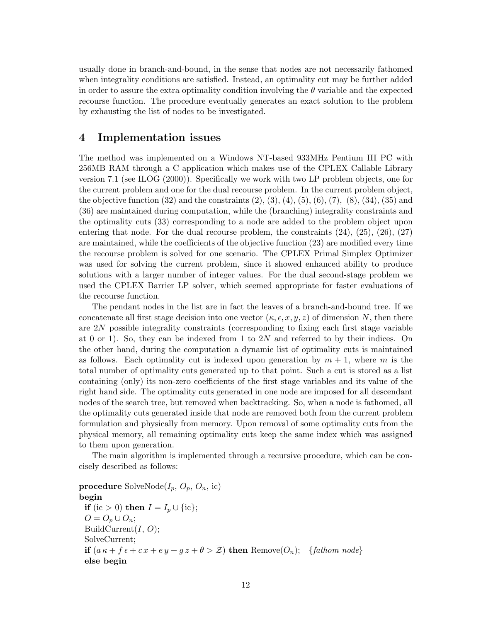usually done in branch-and-bound, in the sense that nodes are not necessarily fathomed when integrality conditions are satisfied. Instead, an optimality cut may be further added in order to assure the extra optimality condition involving the  $\theta$  variable and the expected recourse function. The procedure eventually generates an exact solution to the problem by exhausting the list of nodes to be investigated.

## 4 Implementation issues

The method was implemented on a Windows NT-based 933MHz Pentium III PC with 256MB RAM through a C application which makes use of the CPLEX Callable Library version 7.1 (see ILOG (2000)). Specifically we work with two LP problem objects, one for the current problem and one for the dual recourse problem. In the current problem object, the objective function  $(32)$  and the constraints  $(2), (3), (4), (5), (6), (7), (8), (34), (35)$  and (36) are maintained during computation, while the (branching) integrality constraints and the optimality cuts (33) corresponding to a node are added to the problem object upon entering that node. For the dual recourse problem, the constraints (24), (25), (26), (27) are maintained, while the coefficients of the objective function (23) are modified every time the recourse problem is solved for one scenario. The CPLEX Primal Simplex Optimizer was used for solving the current problem, since it showed enhanced ability to produce solutions with a larger number of integer values. For the dual second-stage problem we used the CPLEX Barrier LP solver, which seemed appropriate for faster evaluations of the recourse function.

The pendant nodes in the list are in fact the leaves of a branch-and-bound tree. If we concatenate all first stage decision into one vector  $(\kappa, \epsilon, x, y, z)$  of dimension N, then there are 2N possible integrality constraints (corresponding to fixing each first stage variable at 0 or 1). So, they can be indexed from 1 to 2N and referred to by their indices. On the other hand, during the computation a dynamic list of optimality cuts is maintained as follows. Each optimality cut is indexed upon generation by  $m + 1$ , where m is the total number of optimality cuts generated up to that point. Such a cut is stored as a list containing (only) its non-zero coefficients of the first stage variables and its value of the right hand side. The optimality cuts generated in one node are imposed for all descendant nodes of the search tree, but removed when backtracking. So, when a node is fathomed, all the optimality cuts generated inside that node are removed both from the current problem formulation and physically from memory. Upon removal of some optimality cuts from the physical memory, all remaining optimality cuts keep the same index which was assigned to them upon generation.

The main algorithm is implemented through a recursive procedure, which can be concisely described as follows:

procedure SolveNode( $I_p$ ,  $O_p$ ,  $O_n$ , ic) begin **if** (ic > 0) **then**  $I = I_p \cup \{ic\};$  $O = O_p \cup O_n;$ BuildCurrent $(I, O);$ SolveCurrent; if  $(a \kappa + f \epsilon + cx + ey + gz + \theta > \overline{z})$  then Remove $(O_n)$ ; {fathom node} else begin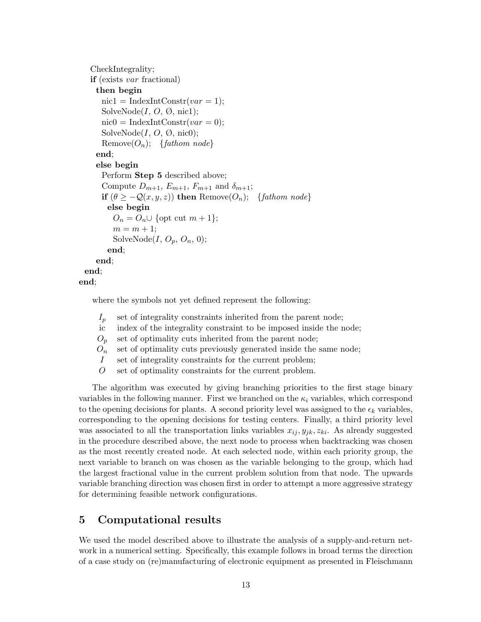```
CheckIntegrality;
   if (exists var fractional)
     then begin
       \text{nic1} = \text{IndexIntConstruct}(var = 1);SolveNode(I, O, \emptyset, \text{nic1});
       \text{nic0} = \text{IndexIntConstruct}(var = 0);SolveNode(I, O, \emptyset, \text{nic0});
       Remove(O_n); {fathom node}
     end;
     else begin
       Perform Step 5 described above;
       Compute D_{m+1}, E_{m+1}, F_{m+1} and \delta_{m+1};
       if (\theta \geq -\mathcal{Q}(x, y, z)) then Remove(O_n); {fathom node}
         else begin
          O_n = O_n \cup \{ \text{opt cut } m + 1 \};m = m + 1;SolveNode(I, O_p, O_n, 0);end;
     end;
 end;
end;
```
where the symbols not yet defined represent the following:

| $\mathcal{L}_n$ | set of integrality constraints inherited from the parent node;     |
|-----------------|--------------------------------------------------------------------|
| ic              | index of the integrality constraint to be imposed inside the node; |
| $O_n$           | set of optimality cuts inherited from the parent node;             |
| $O_n$           | set of optimality cuts previously generated inside the same node;  |
|                 | set of integrality constraints for the current problem;            |
| $\theta$        | set of optimality constraints for the current problem.             |

The algorithm was executed by giving branching priorities to the first stage binary variables in the following manner. First we branched on the  $\kappa_i$  variables, which correspond to the opening decisions for plants. A second priority level was assigned to the  $\epsilon_k$  variables, corresponding to the opening decisions for testing centers. Finally, a third priority level was associated to all the transportation links variables  $x_{ij}$ ,  $y_{jk}$ ,  $z_{ki}$ . As already suggested in the procedure described above, the next node to process when backtracking was chosen as the most recently created node. At each selected node, within each priority group, the next variable to branch on was chosen as the variable belonging to the group, which had the largest fractional value in the current problem solution from that node. The upwards variable branching direction was chosen first in order to attempt a more aggressive strategy for determining feasible network configurations.

# 5 Computational results

We used the model described above to illustrate the analysis of a supply-and-return network in a numerical setting. Specifically, this example follows in broad terms the direction of a case study on (re)manufacturing of electronic equipment as presented in Fleischmann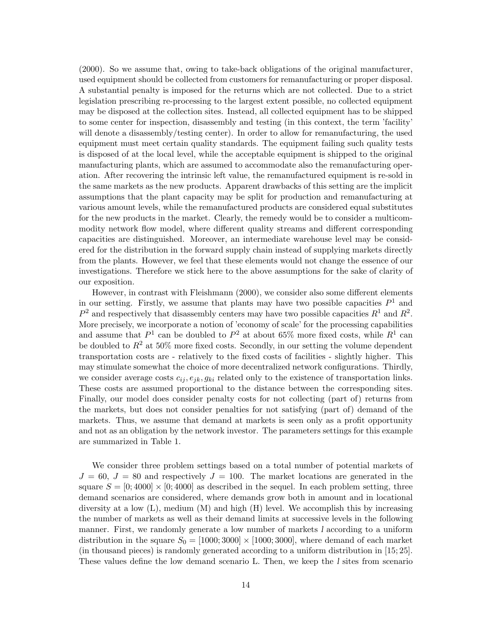(2000). So we assume that, owing to take-back obligations of the original manufacturer, used equipment should be collected from customers for remanufacturing or proper disposal. A substantial penalty is imposed for the returns which are not collected. Due to a strict legislation prescribing re-processing to the largest extent possible, no collected equipment may be disposed at the collection sites. Instead, all collected equipment has to be shipped to some center for inspection, disassembly and testing (in this context, the term 'facility' will denote a disassembly/testing center). In order to allow for remanufacturing, the used equipment must meet certain quality standards. The equipment failing such quality tests is disposed of at the local level, while the acceptable equipment is shipped to the original manufacturing plants, which are assumed to accommodate also the remanufacturing operation. After recovering the intrinsic left value, the remanufactured equipment is re-sold in the same markets as the new products. Apparent drawbacks of this setting are the implicit assumptions that the plant capacity may be split for production and remanufacturing at various amount levels, while the remanufactured products are considered equal substitutes for the new products in the market. Clearly, the remedy would be to consider a multicommodity network flow model, where different quality streams and different corresponding capacities are distinguished. Moreover, an intermediate warehouse level may be considered for the distribution in the forward supply chain instead of supplying markets directly from the plants. However, we feel that these elements would not change the essence of our investigations. Therefore we stick here to the above assumptions for the sake of clarity of our exposition.

However, in contrast with Fleishmann (2000), we consider also some different elements in our setting. Firstly, we assume that plants may have two possible capacities  $P^1$  and  $P^2$  and respectively that disassembly centers may have two possible capacities  $R^1$  and  $R^2$ . More precisely, we incorporate a notion of 'economy of scale' for the processing capabilities and assume that  $P^1$  can be doubled to  $P^2$  at about 65% more fixed costs, while  $R^1$  can be doubled to  $R^2$  at 50% more fixed costs. Secondly, in our setting the volume dependent transportation costs are - relatively to the fixed costs of facilities - slightly higher. This may stimulate somewhat the choice of more decentralized network configurations. Thirdly, we consider average costs  $c_{ij}, e_{jk}, g_{ki}$  related only to the existence of transportation links. These costs are assumed proportional to the distance between the corresponding sites. Finally, our model does consider penalty costs for not collecting (part of) returns from the markets, but does not consider penalties for not satisfying (part of) demand of the markets. Thus, we assume that demand at markets is seen only as a profit opportunity and not as an obligation by the network investor. The parameters settings for this example are summarized in Table 1.

We consider three problem settings based on a total number of potential markets of  $J = 60, J = 80$  and respectively  $J = 100$ . The market locations are generated in the square  $S = [0; 4000] \times [0; 4000]$  as described in the sequel. In each problem setting, three demand scenarios are considered, where demands grow both in amount and in locational diversity at a low  $(L)$ , medium  $(M)$  and high  $(H)$  level. We accomplish this by increasing the number of markets as well as their demand limits at successive levels in the following manner. First, we randomly generate a low number of markets l according to a uniform distribution in the square  $S_0 = [1000; 3000] \times [1000; 3000]$ , where demand of each market (in thousand pieces) is randomly generated according to a uniform distribution in [15; 25]. These values define the low demand scenario L. Then, we keep the l sites from scenario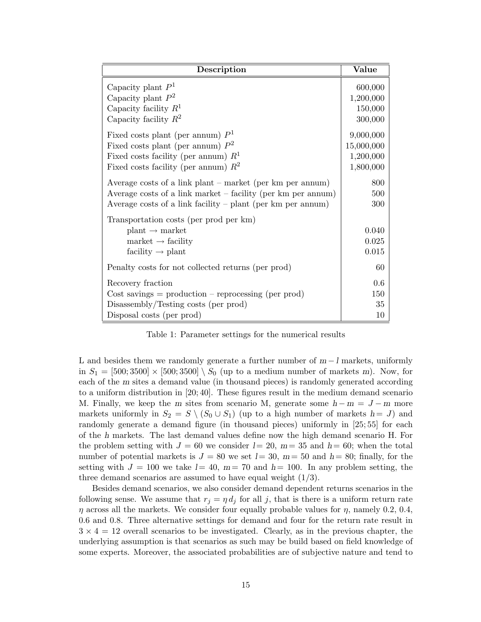| Description                                                                                                                                                                                | Value                                             |
|--------------------------------------------------------------------------------------------------------------------------------------------------------------------------------------------|---------------------------------------------------|
| Capacity plant $P1$<br>Capacity plant $P^2$                                                                                                                                                | 600,000<br>1,200,000                              |
| Capacity facility $R^1$<br>Capacity facility $R^2$                                                                                                                                         | 150,000<br>300,000                                |
| Fixed costs plant (per annum) $P1$<br>Fixed costs plant (per annum) $P^2$<br>Fixed costs facility (per annum) $R1$<br>Fixed costs facility (per annum) $R^2$                               | 9,000,000<br>15,000,000<br>1,200,000<br>1,800,000 |
| Average costs of a link plant – market (per km per annum)<br>Average costs of a link market – facility (per km per annum)<br>Average costs of a link facility $-$ plant (per km per annum) | 800<br>500<br>300                                 |
| Transportation costs (per prod per km)<br>$plant \rightarrow market$<br>$market \rightarrow facility$<br>facility $\rightarrow$ plant                                                      | 0.040<br>0.025<br>0.015                           |
| Penalty costs for not collected returns (per prod)                                                                                                                                         | 60                                                |
| Recovery fraction                                                                                                                                                                          | 0.6                                               |
| $Cost \, savings = production - reprocessing (per \, prod)$                                                                                                                                | 150                                               |
| Disassembly/Testing costs (per prod)                                                                                                                                                       | 35                                                |
| Disposal costs (per prod)                                                                                                                                                                  | 10                                                |

Table 1: Parameter settings for the numerical results

L and besides them we randomly generate a further number of  $m - l$  markets, uniformly in  $S_1 = [500; 3500] \times [500; 3500] \setminus S_0$  (up to a medium number of markets m). Now, for each of the m sites a demand value (in thousand pieces) is randomly generated according to a uniform distribution in [20; 40]. These figures result in the medium demand scenario M. Finally, we keep the m sites from scenario M, generate some  $h - m = J - m$  more markets uniformly in  $S_2 = S \setminus (S_0 \cup S_1)$  (up to a high number of markets  $h = J$ ) and randomly generate a demand figure (in thousand pieces) uniformly in [25; 55] for each of the h markets. The last demand values define now the high demand scenario H. For the problem setting with  $J = 60$  we consider  $l = 20$ ,  $m = 35$  and  $h = 60$ ; when the total number of potential markets is  $J = 80$  we set  $l = 30$ ,  $m = 50$  and  $h = 80$ ; finally, for the setting with  $J = 100$  we take  $l = 40$ ,  $m = 70$  and  $h = 100$ . In any problem setting, the three demand scenarios are assumed to have equal weight  $(1/3)$ .

Besides demand scenarios, we also consider demand dependent returns scenarios in the following sense. We assume that  $r_j = \eta d_j$  for all j, that is there is a uniform return rate  $\eta$  across all the markets. We consider four equally probable values for  $\eta$ , namely 0.2, 0.4, 0.6 and 0.8. Three alternative settings for demand and four for the return rate result in  $3 \times 4 = 12$  overall scenarios to be investigated. Clearly, as in the previous chapter, the underlying assumption is that scenarios as such may be build based on field knowledge of some experts. Moreover, the associated probabilities are of subjective nature and tend to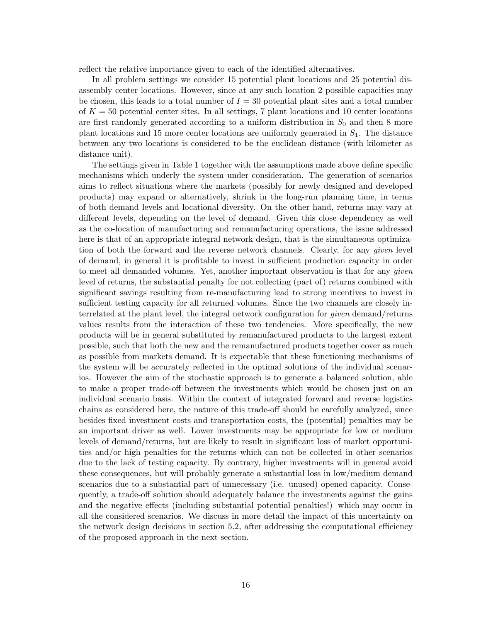reflect the relative importance given to each of the identified alternatives.

In all problem settings we consider 15 potential plant locations and 25 potential disassembly center locations. However, since at any such location 2 possible capacities may be chosen, this leads to a total number of  $I = 30$  potential plant sites and a total number of  $K = 50$  potential center sites. In all settings, 7 plant locations and 10 center locations are first randomly generated according to a uniform distribution in  $S_0$  and then 8 more plant locations and 15 more center locations are uniformly generated in  $S<sub>1</sub>$ . The distance between any two locations is considered to be the euclidean distance (with kilometer as distance unit).

The settings given in Table 1 together with the assumptions made above define specific mechanisms which underly the system under consideration. The generation of scenarios aims to reflect situations where the markets (possibly for newly designed and developed products) may expand or alternatively, shrink in the long-run planning time, in terms of both demand levels and locational diversity. On the other hand, returns may vary at different levels, depending on the level of demand. Given this close dependency as well as the co-location of manufacturing and remanufacturing operations, the issue addressed here is that of an appropriate integral network design, that is the simultaneous optimization of both the forward and the reverse network channels. Clearly, for any *given* level of demand, in general it is profitable to invest in sufficient production capacity in order to meet all demanded volumes. Yet, another important observation is that for any given level of returns, the substantial penalty for not collecting (part of) returns combined with significant savings resulting from re-manufacturing lead to strong incentives to invest in sufficient testing capacity for all returned volumes. Since the two channels are closely interrelated at the plant level, the integral network configuration for given demand/returns values results from the interaction of these two tendencies. More specifically, the new products will be in general substituted by remanufactured products to the largest extent possible, such that both the new and the remanufactured products together cover as much as possible from markets demand. It is expectable that these functioning mechanisms of the system will be accurately reflected in the optimal solutions of the individual scenarios. However the aim of the stochastic approach is to generate a balanced solution, able to make a proper trade-off between the investments which would be chosen just on an individual scenario basis. Within the context of integrated forward and reverse logistics chains as considered here, the nature of this trade-off should be carefully analyzed, since besides fixed investment costs and transportation costs, the (potential) penalties may be an important driver as well. Lower investments may be appropriate for low or medium levels of demand/returns, but are likely to result in significant loss of market opportunities and/or high penalties for the returns which can not be collected in other scenarios due to the lack of testing capacity. By contrary, higher investments will in general avoid these consequences, but will probably generate a substantial loss in low/medium demand scenarios due to a substantial part of unnecessary (i.e. unused) opened capacity. Consequently, a trade-off solution should adequately balance the investments against the gains and the negative effects (including substantial potential penalties!) which may occur in all the considered scenarios. We discuss in more detail the impact of this uncertainty on the network design decisions in section 5.2, after addressing the computational efficiency of the proposed approach in the next section.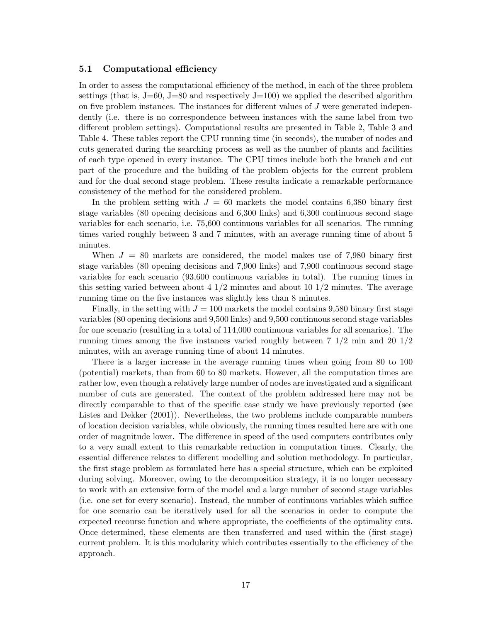#### 5.1 Computational efficiency

In order to assess the computational efficiency of the method, in each of the three problem settings (that is,  $J=60$ ,  $J=80$  and respectively  $J=100$ ) we applied the described algorithm on five problem instances. The instances for different values of  $J$  were generated independently (i.e. there is no correspondence between instances with the same label from two different problem settings). Computational results are presented in Table 2, Table 3 and Table 4. These tables report the CPU running time (in seconds), the number of nodes and cuts generated during the searching process as well as the number of plants and facilities of each type opened in every instance. The CPU times include both the branch and cut part of the procedure and the building of the problem objects for the current problem and for the dual second stage problem. These results indicate a remarkable performance consistency of the method for the considered problem.

In the problem setting with  $J = 60$  markets the model contains 6,380 binary first stage variables (80 opening decisions and 6,300 links) and 6,300 continuous second stage variables for each scenario, i.e. 75,600 continuous variables for all scenarios. The running times varied roughly between 3 and 7 minutes, with an average running time of about 5 minutes.

When  $J = 80$  markets are considered, the model makes use of 7,980 binary first stage variables (80 opening decisions and 7,900 links) and 7,900 continuous second stage variables for each scenario (93,600 continuous variables in total). The running times in this setting varied between about  $4 \frac{1}{2}$  minutes and about  $10 \frac{1}{2}$  minutes. The average running time on the five instances was slightly less than 8 minutes.

Finally, in the setting with  $J = 100$  markets the model contains 9,580 binary first stage variables (80 opening decisions and 9,500 links) and 9,500 continuous second stage variables for one scenario (resulting in a total of 114,000 continuous variables for all scenarios). The running times among the five instances varied roughly between 7 1/2 min and 20 1/2 minutes, with an average running time of about 14 minutes.

There is a larger increase in the average running times when going from 80 to 100 (potential) markets, than from 60 to 80 markets. However, all the computation times are rather low, even though a relatively large number of nodes are investigated and a significant number of cuts are generated. The context of the problem addressed here may not be directly comparable to that of the specific case study we have previously reported (see Listes and Dekker (2001)). Nevertheless, the two problems include comparable numbers of location decision variables, while obviously, the running times resulted here are with one order of magnitude lower. The difference in speed of the used computers contributes only to a very small extent to this remarkable reduction in computation times. Clearly, the essential difference relates to different modelling and solution methodology. In particular, the first stage problem as formulated here has a special structure, which can be exploited during solving. Moreover, owing to the decomposition strategy, it is no longer necessary to work with an extensive form of the model and a large number of second stage variables (i.e. one set for every scenario). Instead, the number of continuous variables which suffice for one scenario can be iteratively used for all the scenarios in order to compute the expected recourse function and where appropriate, the coefficients of the optimality cuts. Once determined, these elements are then transferred and used within the (first stage) current problem. It is this modularity which contributes essentially to the efficiency of the approach.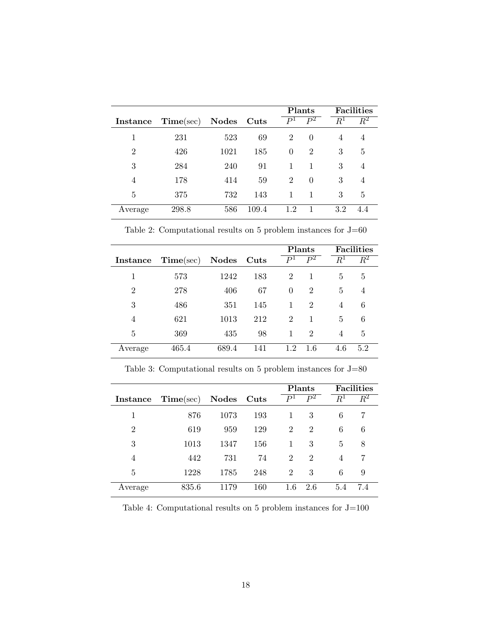|                |           |            |       | <b>Plants</b>  |                |                    | <b>Facilities</b> |
|----------------|-----------|------------|-------|----------------|----------------|--------------------|-------------------|
| Instance       | Time(sec) | Nodes Cuts |       | P <sup>1</sup> | $P^2$          | $\overline{R}{}^1$ | $\bar{R}^2$       |
|                | 231       | 523        | 69    | $\overline{2}$ | $\Omega$       | 4                  | 4                 |
| $\overline{2}$ | 426       | 1021       | 185   | $\Omega$       | $\overline{2}$ | 3                  | 5                 |
| 3              | 284       | 240        | 91    | 1              | 1              | 3                  | 4                 |
| 4              | 178       | 414        | 59    | $\overline{2}$ | $\Omega$       | 3                  | 4                 |
| 5              | 375       | 732        | 143   | 1              |                | 3                  | 5                 |
| Average        | 298.8     | 586        | 109.4 | 1.2            |                | 3.2                | 4.4               |

Table 2: Computational results on 5 problem instances for  $\rm J{=}60$ 

|                |           |            |     | Plants         |                |       | <b>Facilities</b> |
|----------------|-----------|------------|-----|----------------|----------------|-------|-------------------|
| Instance       | Time(sec) | Nodes Cuts |     | P <sup>1</sup> | $P^2$          | $R^1$ | $\overline{R^2}$  |
|                | 573       | 1242       | 183 | 2              |                | 5     | 5                 |
| $\overline{2}$ | 278       | 406        | 67  | $\theta$       | $\overline{2}$ | 5     | $\overline{4}$    |
| 3              | 486       | 351        | 145 |                | $\overline{2}$ | 4     | 6                 |
| 4              | 621       | 1013       | 212 | 2              |                | 5     | 6                 |
| 5              | 369       | 435        | 98  |                | $\overline{2}$ | 4     | 5                 |
| Average        | 465.4     | 689.4      | 141 | 1.2            | 1.6            | 4.6   | 5.2               |

| Table 3: Computational results on 5 problem instances for $J=80$ |  |  |  |  |  |  |
|------------------------------------------------------------------|--|--|--|--|--|--|
|------------------------------------------------------------------|--|--|--|--|--|--|

|                |           |            |     | <b>Plants</b>  |                |       | <b>Facilities</b> |
|----------------|-----------|------------|-----|----------------|----------------|-------|-------------------|
| Instance       | Time(sec) | Nodes Cuts |     | P <sup>1</sup> | $P^2$          | $R^1$ | $\bar{R}^2$       |
| 1              | 876       | 1073       | 193 | 1              | 3              | 6     |                   |
| $\overline{2}$ | 619       | 959        | 129 | 2              | $\overline{2}$ | 6     | 6                 |
| 3              | 1013      | 1347       | 156 | 1              | 3              | 5     | 8                 |
| 4              | 442       | 731        | 74  | $\overline{2}$ | $\overline{2}$ | 4     |                   |
| 5              | 1228      | 1785       | 248 | $\overline{2}$ | 3              | 6     | 9                 |
| Average        | 835.6     | 1179       | 160 | 1.6            | 2.6            | 5.4   | 7.4               |

Table 4: Computational results on 5 problem instances for  $\rm J\rm=100$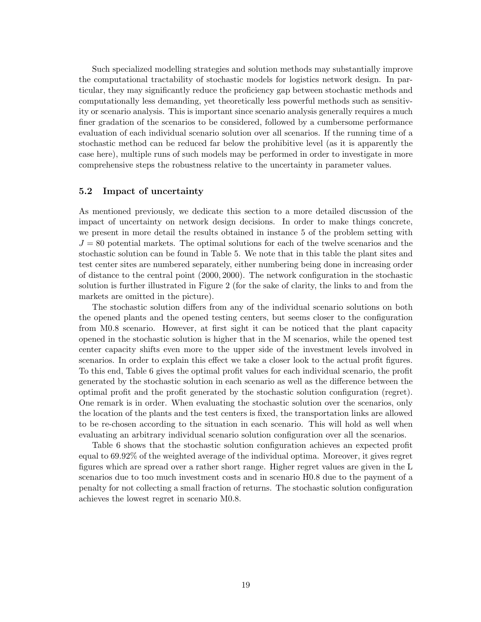Such specialized modelling strategies and solution methods may substantially improve the computational tractability of stochastic models for logistics network design. In particular, they may significantly reduce the proficiency gap between stochastic methods and computationally less demanding, yet theoretically less powerful methods such as sensitivity or scenario analysis. This is important since scenario analysis generally requires a much finer gradation of the scenarios to be considered, followed by a cumbersome performance evaluation of each individual scenario solution over all scenarios. If the running time of a stochastic method can be reduced far below the prohibitive level (as it is apparently the case here), multiple runs of such models may be performed in order to investigate in more comprehensive steps the robustness relative to the uncertainty in parameter values.

#### 5.2 Impact of uncertainty

As mentioned previously, we dedicate this section to a more detailed discussion of the impact of uncertainty on network design decisions. In order to make things concrete, we present in more detail the results obtained in instance 5 of the problem setting with  $J = 80$  potential markets. The optimal solutions for each of the twelve scenarios and the stochastic solution can be found in Table 5. We note that in this table the plant sites and test center sites are numbered separately, either numbering being done in increasing order of distance to the central point (2000, 2000). The network configuration in the stochastic solution is further illustrated in Figure 2 (for the sake of clarity, the links to and from the markets are omitted in the picture).

The stochastic solution differs from any of the individual scenario solutions on both the opened plants and the opened testing centers, but seems closer to the configuration from M0.8 scenario. However, at first sight it can be noticed that the plant capacity opened in the stochastic solution is higher that in the M scenarios, while the opened test center capacity shifts even more to the upper side of the investment levels involved in scenarios. In order to explain this effect we take a closer look to the actual profit figures. To this end, Table 6 gives the optimal profit values for each individual scenario, the profit generated by the stochastic solution in each scenario as well as the difference between the optimal profit and the profit generated by the stochastic solution configuration (regret). One remark is in order. When evaluating the stochastic solution over the scenarios, only the location of the plants and the test centers is fixed, the transportation links are allowed to be re-chosen according to the situation in each scenario. This will hold as well when evaluating an arbitrary individual scenario solution configuration over all the scenarios.

Table 6 shows that the stochastic solution configuration achieves an expected profit equal to 69.92% of the weighted average of the individual optima. Moreover, it gives regret figures which are spread over a rather short range. Higher regret values are given in the L scenarios due to too much investment costs and in scenario H0.8 due to the payment of a penalty for not collecting a small fraction of returns. The stochastic solution configuration achieves the lowest regret in scenario M0.8.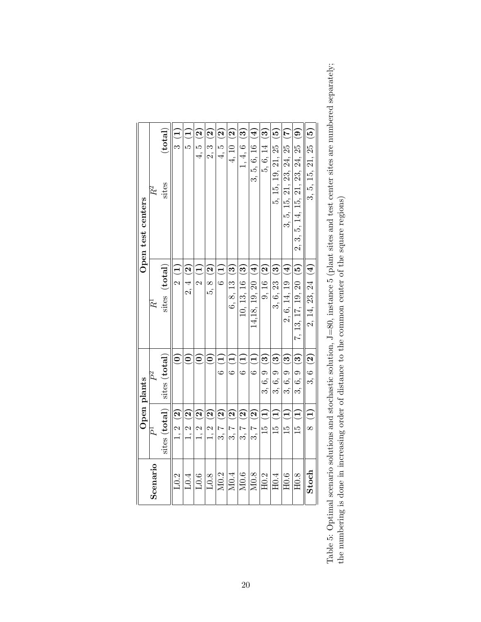|                  |                                    | Open plants            |                       | Open test centers                             |
|------------------|------------------------------------|------------------------|-----------------------|-----------------------------------------------|
| Scenario         | $\vec{P}$                          | $P^2$                  | Ŕ                     | $R^2$                                         |
|                  | sites (total)                      | sites (total)          | sites (total)         | (total)<br>sites                              |
| L0.2             | 1, 2(2)                            | $\widehat{\circ}$      | 2(1)                  | 3(1)                                          |
| L0.4             | 1, 2(2)                            | $\widehat{\bullet}$    | $2, 4$ (2)            | $\widehat{\Xi}$<br>ro                         |
| $10.6\,$         | $1, 2$ $(2)$                       | $\widehat{\circ}$      | 2(1)                  | $\widehat{\mathbf{S}}$<br>4,5                 |
| $_{\rm L0.8}$    | $\mathbf{S}$<br>1, 2               | $\widehat{\mathsf{e}}$ | $5, 8$ (2)            | $\widehat{\mathbf{S}}$<br>2, 3                |
| M <sub>0.2</sub> | $3, 7$ (2)                         | 6(1)                   | 6(1)                  | $\widehat{\mathbf{S}}$<br>4, 5,               |
| M0.4             | $3, 7$ (2)                         | 6(1)                   | $6, 8, 13$ (3)        | 4, 10 $(2)$                                   |
| M0.6             | $\widehat{\mathbf{S}}$<br>ು.<br>ವಿ | 6(1)                   | $10, 13, 16$ (3)      | $\widetilde{\mathbf{S}}$<br>1, 4, 6           |
| M0.8             | $3, 7$ (2)                         | 6(1)                   | 14,18, 19, 20 (4)     | $\overline{4}$<br>3, 5, 6, 16                 |
| H0.2             | $\widehat{\Xi}$<br>15<br>1         | $3, 6, 9$ (3)          | 9, 16(2)              | $\widehat{\mathbf{e}}$<br>5, 6, 14            |
| H0.4             | $\left(1\right)$<br>15             | $3, 6, 9$ (3)          | $3, 6, 23$ (3)        | $\widetilde{\mathbf{e}}$<br>5, 15, 19, 21, 25 |
| H0.6             | $\widehat{\Xi}$<br>15              | $3, 6, 9$ (3)          | 2, 6, 14, 19 (4)      | E<br>3, 5, 15, 21, 23, 24, 25                 |
| H0.8             | $\widehat{\Xi}$<br>$\frac{1}{2}$   | $3, 6, 9$ (3)          | 7, 13, 17, 19, 20 (5) | త<br>2, 3, 5, 14, 15, 21, 23, 24, 25          |
| Stoch            | 8(1)                               | $3, 6$ (2)             | 2, 14, 23, 24 (4)     | $\widetilde{5}$<br>3, 5, 15, 21, 25           |
|                  |                                    |                        |                       |                                               |

Table 5: Optimal scenario solutions and stochastic solution,  $J=80$ , instance 5 (plant sites and test center sites are numbered separately; the numbering is done in increasing order of distance to the common center of the Table 5: Optimal scenario solutions and stochastic solution, J=80, instance 5 (plant sites and test center sites are numbered separately; the numbering is done in increasing order of distance to the common center of the square regions)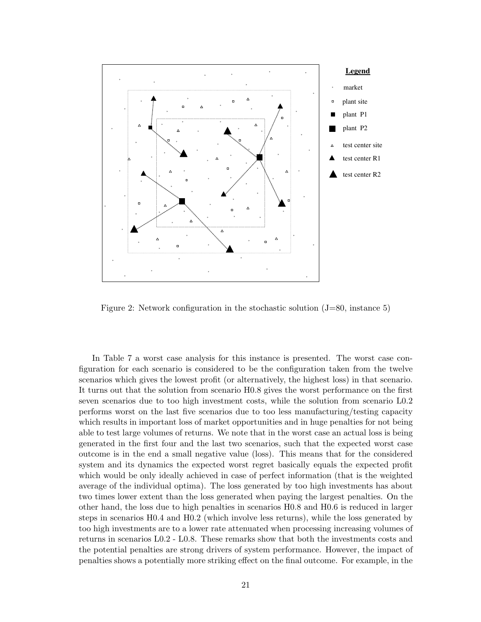

Figure 2: Network configuration in the stochastic solution  $(J=80, \text{ instance } 5)$ 

In Table 7 a worst case analysis for this instance is presented. The worst case configuration for each scenario is considered to be the configuration taken from the twelve scenarios which gives the lowest profit (or alternatively, the highest loss) in that scenario. It turns out that the solution from scenario H0.8 gives the worst performance on the first seven scenarios due to too high investment costs, while the solution from scenario L0.2 performs worst on the last five scenarios due to too less manufacturing/testing capacity which results in important loss of market opportunities and in huge penalties for not being able to test large volumes of returns. We note that in the worst case an actual loss is being generated in the first four and the last two scenarios, such that the expected worst case outcome is in the end a small negative value (loss). This means that for the considered system and its dynamics the expected worst regret basically equals the expected profit which would be only ideally achieved in case of perfect information (that is the weighted average of the individual optima). The loss generated by too high investments has about two times lower extent than the loss generated when paying the largest penalties. On the other hand, the loss due to high penalties in scenarios H0.8 and H0.6 is reduced in larger steps in scenarios H0.4 and H0.2 (which involve less returns), while the loss generated by too high investments are to a lower rate attenuated when processing increasing volumes of returns in scenarios L0.2 - L0.8. These remarks show that both the investments costs and the potential penalties are strong drivers of system performance. However, the impact of penalties shows a potentially more striking effect on the final outcome. For example, in the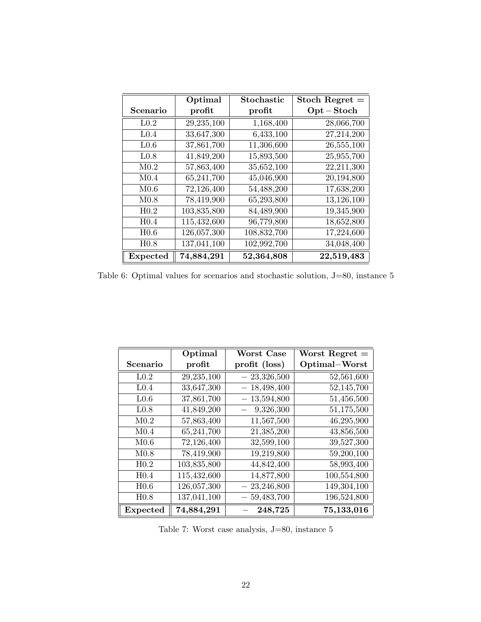|                  | Optimal     | Stochastic  | Stoch Regret $=$ |
|------------------|-------------|-------------|------------------|
| Scenario         | profit      | profit      | $Opt - Stock$    |
| L <sub>0.2</sub> | 29,235,100  | 1,168,400   | 28,066,700       |
| L <sub>0.4</sub> | 33,647,300  | 6,433,100   | 27,214,200       |
| L <sub>0.6</sub> | 37,861,700  | 11,306,600  | 26,555,100       |
| L <sub>0.8</sub> | 41,849,200  | 15,893,500  | 25,955,700       |
| M <sub>0.2</sub> | 57,863,400  | 35,652,100  | 22,211,300       |
| M <sub>0.4</sub> | 65,241,700  | 45,046,900  | 20,194,800       |
| M <sub>0.6</sub> | 72,126,400  | 54,488,200  | 17,638,200       |
| M <sub>0.8</sub> | 78,419,900  | 65,293,800  | 13,126,100       |
| H <sub>0.2</sub> | 103,835,800 | 84,489,900  | 19,345,900       |
| H <sub>0.4</sub> | 115,432,600 | 96,779,800  | 18,652,800       |
| H <sub>0.6</sub> | 126,057,300 | 108,832,700 | 17,224,600       |
| H <sub>0.8</sub> | 137,041,100 | 102,992,700 | 34,048,400       |
| Expected         | 74,884,291  | 52,364,808  | 22,519,483       |

Table 6: Optimal values for scenarios and stochastic solution, J=80, instance 5

|                  | Optimal                 | <b>Worst Case</b> | Worst Regret $=$ |
|------------------|-------------------------|-------------------|------------------|
| Scenario         | profit                  | profit (loss)     | Optimal-Worst    |
| L <sub>0.2</sub> | 29,235,100              | 23,326,500        | 52,561,600       |
| L <sub>0.4</sub> | 33,647,300              | 18,498,400        | 52,145,700       |
| L <sub>0.6</sub> | 37,861,700              | 13,594,800        | 51,456,500       |
| L <sub>0.8</sub> | 41,849,200              | 9,326,300         | 51,175,500       |
| M <sub>0.2</sub> | 57,863,400              | 11,567,500        | 46,295,900       |
| M <sub>0.4</sub> | 65,241,700              | 21,385,200        | 43,856,500       |
| M <sub>0.6</sub> | 72,126,400              | 32,599,100        | 39,527,300       |
| M <sub>0.8</sub> | 78,419,900              | 19,219,800        | 59,200,100       |
| H <sub>0.2</sub> | 103,835,800             | 44,842,400        | 58,993,400       |
| H <sub>0.4</sub> | 115,432,600             | 14,877,800        | 100,554,800      |
| H <sub>0.6</sub> | 126,057,300             | 23,246,800        | 149,304,100      |
| H <sub>0.8</sub> | 137,041,100             | 59,483,700        | 196,524,800      |
| <b>Expected</b>  | $\overline{74,884,291}$ | 248,725           | 75,133,016       |

Table 7: Worst case analysis, J=80, instance 5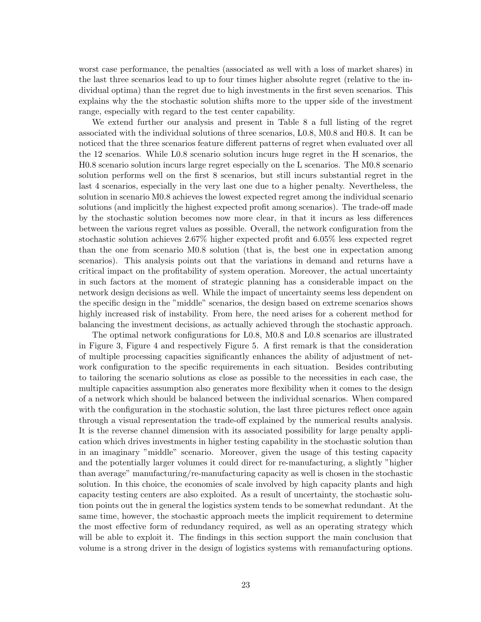worst case performance, the penalties (associated as well with a loss of market shares) in the last three scenarios lead to up to four times higher absolute regret (relative to the individual optima) than the regret due to high investments in the first seven scenarios. This explains why the the stochastic solution shifts more to the upper side of the investment range, especially with regard to the test center capability.

We extend further our analysis and present in Table 8 a full listing of the regret associated with the individual solutions of three scenarios, L0.8, M0.8 and H0.8. It can be noticed that the three scenarios feature different patterns of regret when evaluated over all the 12 scenarios. While L0.8 scenario solution incurs huge regret in the H scenarios, the H0.8 scenario solution incurs large regret especially on the L scenarios. The M0.8 scenario solution performs well on the first 8 scenarios, but still incurs substantial regret in the last 4 scenarios, especially in the very last one due to a higher penalty. Nevertheless, the solution in scenario M0.8 achieves the lowest expected regret among the individual scenario solutions (and implicitly the highest expected profit among scenarios). The trade-off made by the stochastic solution becomes now more clear, in that it incurs as less differences between the various regret values as possible. Overall, the network configuration from the stochastic solution achieves 2.67% higher expected profit and 6.05% less expected regret than the one from scenario M0.8 solution (that is, the best one in expectation among scenarios). This analysis points out that the variations in demand and returns have a critical impact on the profitability of system operation. Moreover, the actual uncertainty in such factors at the moment of strategic planning has a considerable impact on the network design decisions as well. While the impact of uncertainty seems less dependent on the specific design in the "middle" scenarios, the design based on extreme scenarios shows highly increased risk of instability. From here, the need arises for a coherent method for balancing the investment decisions, as actually achieved through the stochastic approach.

The optimal network configurations for L0.8, M0.8 and L0.8 scenarios are illustrated in Figure 3, Figure 4 and respectively Figure 5. A first remark is that the consideration of multiple processing capacities significantly enhances the ability of adjustment of network configuration to the specific requirements in each situation. Besides contributing to tailoring the scenario solutions as close as possible to the necessities in each case, the multiple capacities assumption also generates more flexibility when it comes to the design of a network which should be balanced between the individual scenarios. When compared with the configuration in the stochastic solution, the last three pictures reflect once again through a visual representation the trade-off explained by the numerical results analysis. It is the reverse channel dimension with its associated possibility for large penalty application which drives investments in higher testing capability in the stochastic solution than in an imaginary "middle" scenario. Moreover, given the usage of this testing capacity and the potentially larger volumes it could direct for re-manufacturing, a slightly "higher than average" manufacturing/re-manufacturing capacity as well is chosen in the stochastic solution. In this choice, the economies of scale involved by high capacity plants and high capacity testing centers are also exploited. As a result of uncertainty, the stochastic solution points out the in general the logistics system tends to be somewhat redundant. At the same time, however, the stochastic approach meets the implicit requirement to determine the most effective form of redundancy required, as well as an operating strategy which will be able to exploit it. The findings in this section support the main conclusion that volume is a strong driver in the design of logistics systems with remanufacturing options.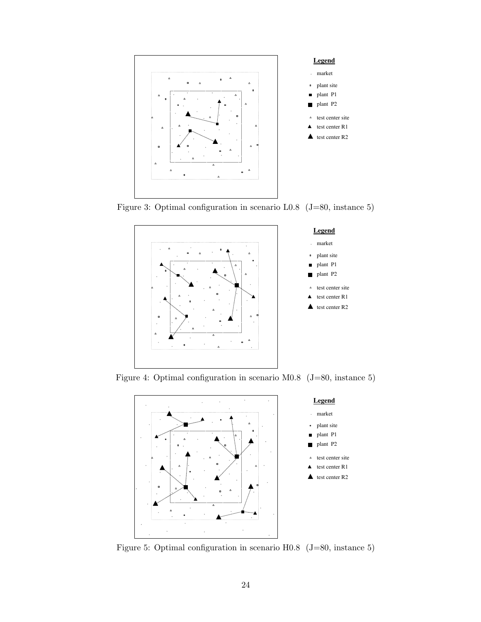

Figure 3: Optimal configuration in scenario L0.8 (J=80, instance 5)



Figure 4: Optimal configuration in scenario M0.8 (J=80, instance 5)



Figure 5: Optimal configuration in scenario H0.8 (J=80, instance 5)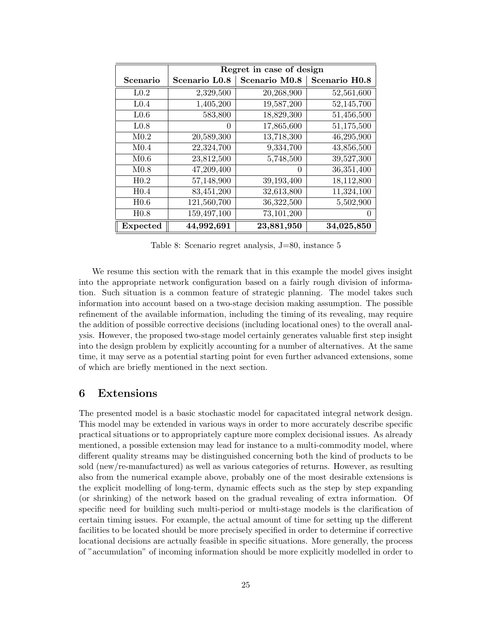|                  |               | Regret in case of design |                           |
|------------------|---------------|--------------------------|---------------------------|
| Scenario         | Scenario L0.8 | Scenario M0.8            | Scenario H <sub>0.8</sub> |
| L <sub>0.2</sub> | 2,329,500     | 20,268,900               | 52,561,600                |
| L <sub>0.4</sub> | 1,405,200     | 19,587,200               | 52,145,700                |
| L <sub>0.6</sub> | 583,800       | 18,829,300               | 51,456,500                |
| L <sub>0.8</sub> | $\theta$      | 17,865,600               | 51,175,500                |
| M <sub>0.2</sub> | 20,589,300    | 13,718,300               | 46,295,900                |
| M <sub>0.4</sub> | 22,324,700    | 9,334,700                | 43,856,500                |
| M <sub>0.6</sub> | 23,812,500    | 5,748,500                | 39,527,300                |
| M <sub>0.8</sub> | 47,209,400    | $\mathbf{0}$             | 36,351,400                |
| H <sub>0.2</sub> | 57,148,900    | 39,193,400               | 18,112,800                |
| H <sub>0.4</sub> | 83,451,200    | 32,613,800               | 11,324,100                |
| H <sub>0.6</sub> | 121,560,700   | 36,322,500               | 5,502,900                 |
| H <sub>0.8</sub> | 159,497,100   | 73, 101, 200             |                           |
| Expected         | 44,992,691    | 23,881,950               | 34,025,850                |

Table 8: Scenario regret analysis, J=80, instance 5

We resume this section with the remark that in this example the model gives insight into the appropriate network configuration based on a fairly rough division of information. Such situation is a common feature of strategic planning. The model takes such information into account based on a two-stage decision making assumption. The possible refinement of the available information, including the timing of its revealing, may require the addition of possible corrective decisions (including locational ones) to the overall analysis. However, the proposed two-stage model certainly generates valuable first step insight into the design problem by explicitly accounting for a number of alternatives. At the same time, it may serve as a potential starting point for even further advanced extensions, some of which are briefly mentioned in the next section.

## 6 Extensions

The presented model is a basic stochastic model for capacitated integral network design. This model may be extended in various ways in order to more accurately describe specific practical situations or to appropriately capture more complex decisional issues. As already mentioned, a possible extension may lead for instance to a multi-commodity model, where different quality streams may be distinguished concerning both the kind of products to be sold (new/re-manufactured) as well as various categories of returns. However, as resulting also from the numerical example above, probably one of the most desirable extensions is the explicit modelling of long-term, dynamic effects such as the step by step expanding (or shrinking) of the network based on the gradual revealing of extra information. Of specific need for building such multi-period or multi-stage models is the clarification of certain timing issues. For example, the actual amount of time for setting up the different facilities to be located should be more precisely specified in order to determine if corrective locational decisions are actually feasible in specific situations. More generally, the process of "accumulation" of incoming information should be more explicitly modelled in order to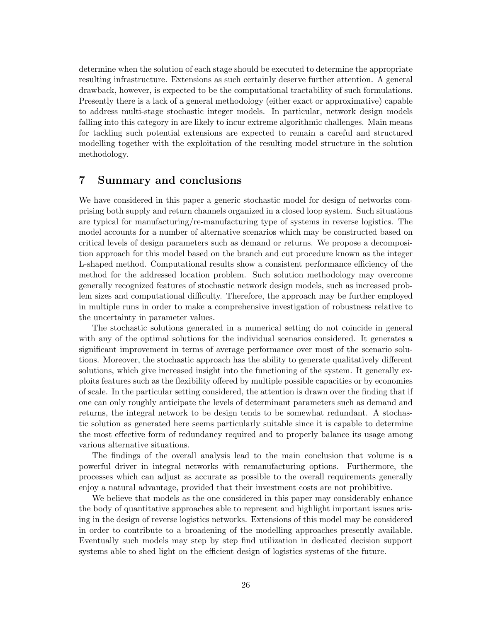determine when the solution of each stage should be executed to determine the appropriate resulting infrastructure. Extensions as such certainly deserve further attention. A general drawback, however, is expected to be the computational tractability of such formulations. Presently there is a lack of a general methodology (either exact or approximative) capable to address multi-stage stochastic integer models. In particular, network design models falling into this category in are likely to incur extreme algorithmic challenges. Main means for tackling such potential extensions are expected to remain a careful and structured modelling together with the exploitation of the resulting model structure in the solution methodology.

## 7 Summary and conclusions

We have considered in this paper a generic stochastic model for design of networks comprising both supply and return channels organized in a closed loop system. Such situations are typical for manufacturing/re-manufacturing type of systems in reverse logistics. The model accounts for a number of alternative scenarios which may be constructed based on critical levels of design parameters such as demand or returns. We propose a decomposition approach for this model based on the branch and cut procedure known as the integer L-shaped method. Computational results show a consistent performance efficiency of the method for the addressed location problem. Such solution methodology may overcome generally recognized features of stochastic network design models, such as increased problem sizes and computational difficulty. Therefore, the approach may be further employed in multiple runs in order to make a comprehensive investigation of robustness relative to the uncertainty in parameter values.

The stochastic solutions generated in a numerical setting do not coincide in general with any of the optimal solutions for the individual scenarios considered. It generates a significant improvement in terms of average performance over most of the scenario solutions. Moreover, the stochastic approach has the ability to generate qualitatively different solutions, which give increased insight into the functioning of the system. It generally exploits features such as the flexibility offered by multiple possible capacities or by economies of scale. In the particular setting considered, the attention is drawn over the finding that if one can only roughly anticipate the levels of determinant parameters such as demand and returns, the integral network to be design tends to be somewhat redundant. A stochastic solution as generated here seems particularly suitable since it is capable to determine the most effective form of redundancy required and to properly balance its usage among various alternative situations.

The findings of the overall analysis lead to the main conclusion that volume is a powerful driver in integral networks with remanufacturing options. Furthermore, the processes which can adjust as accurate as possible to the overall requirements generally enjoy a natural advantage, provided that their investment costs are not prohibitive.

We believe that models as the one considered in this paper may considerably enhance the body of quantitative approaches able to represent and highlight important issues arising in the design of reverse logistics networks. Extensions of this model may be considered in order to contribute to a broadening of the modelling approaches presently available. Eventually such models may step by step find utilization in dedicated decision support systems able to shed light on the efficient design of logistics systems of the future.